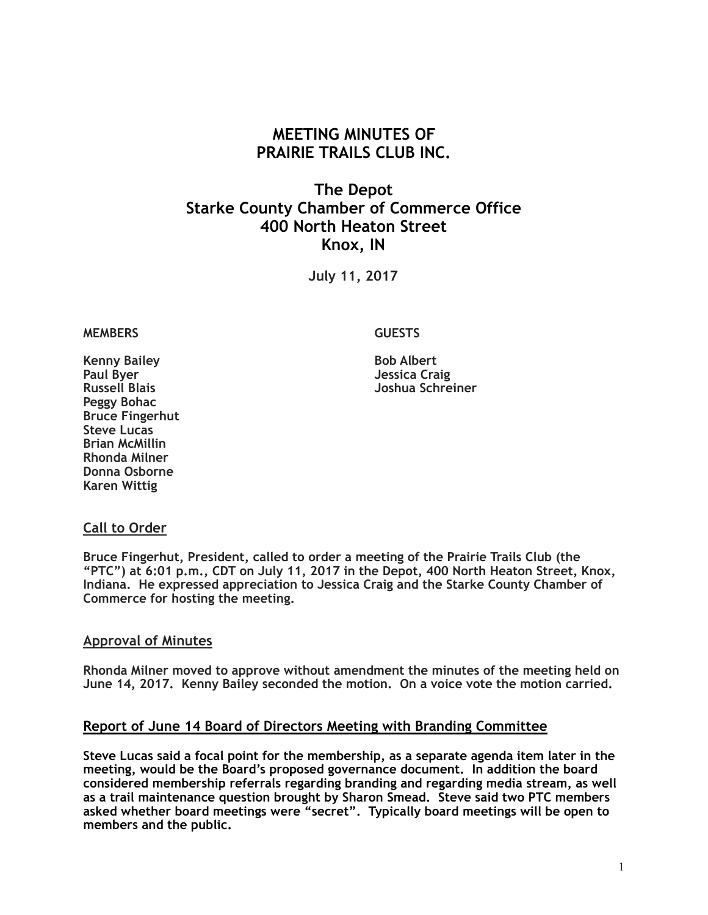# **MEETING MINUTES OF PRAIRIE TRAILS CLUB INC.**

# **The Depot Starke County Chamber of Commerce Office 400 North Heaton Street Knox, IN**

**July 11, 2017**

#### **MEMBERS GUESTS**

**Russell Blais Joshua Schreiner** 

**Kenny Bailey Bob Albert Paul Byer Jessica Craig Peggy Bohac Bruce Fingerhut Steve Lucas Brian McMillin Rhonda Milner Donna Osborne Karen Wittig**

### **Call to Order**

**Bruce Fingerhut, President, called to order a meeting of the Prairie Trails Club (the "PTC") at 6:01 p.m., CDT on July 11, 2017 in the Depot, 400 North Heaton Street, Knox, Indiana. He expressed appreciation to Jessica Craig and the Starke County Chamber of Commerce for hosting the meeting.**

#### **Approval of Minutes**

**Rhonda Milner moved to approve without amendment the minutes of the meeting held on June 14, 2017. Kenny Bailey seconded the motion. On a voice vote the motion carried.**

#### **Report of June 14 Board of Directors Meeting with Branding Committee**

**Steve Lucas said a focal point for the membership, as a separate agenda item later in the meeting, would be the Board's proposed governance document. In addition the board considered membership referrals regarding branding and regarding media stream, as well as a trail maintenance question brought by Sharon Smead. Steve said two PTC members asked whether board meetings were "secret". Typically board meetings will be open to members and the public.**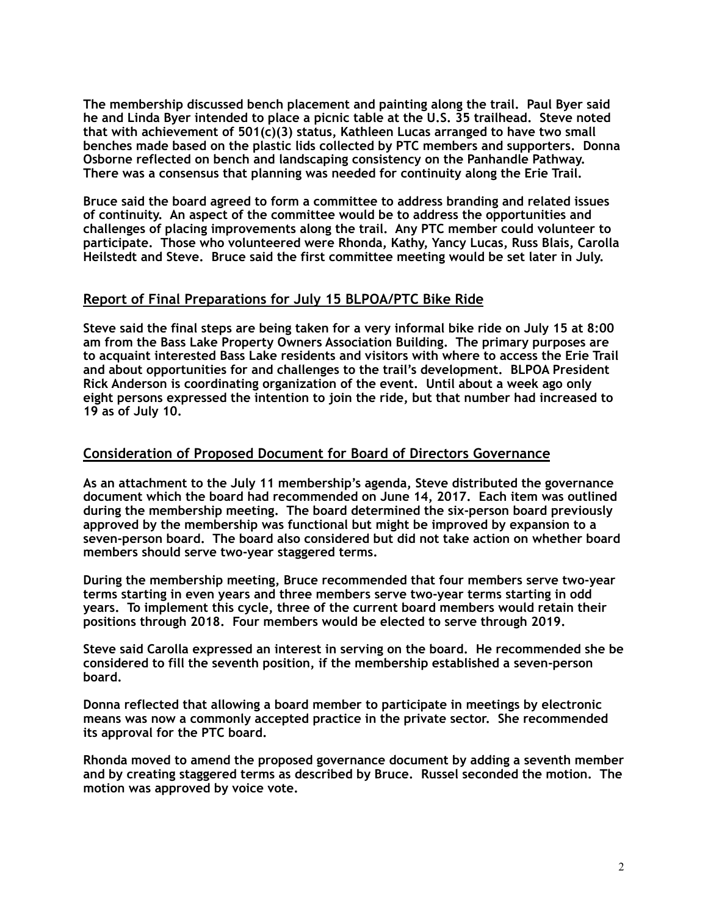**The membership discussed bench placement and painting along the trail. Paul Byer said he and Linda Byer intended to place a picnic table at the U.S. 35 trailhead. Steve noted that with achievement of 501(c)(3) status, Kathleen Lucas arranged to have two small benches made based on the plastic lids collected by PTC members and supporters. Donna Osborne reflected on bench and landscaping consistency on the Panhandle Pathway. There was a consensus that planning was needed for continuity along the Erie Trail.** 

**Bruce said the board agreed to form a committee to address branding and related issues of continuity. An aspect of the committee would be to address the opportunities and challenges of placing improvements along the trail. Any PTC member could volunteer to participate. Those who volunteered were Rhonda, Kathy, Yancy Lucas, Russ Blais, Carolla Heilstedt and Steve. Bruce said the first committee meeting would be set later in July.** 

## **Report of Final Preparations for July 15 BLPOA/PTC Bike Ride**

**Steve said the final steps are being taken for a very informal bike ride on July 15 at 8:00 am from the Bass Lake Property Owners Association Building. The primary purposes are to acquaint interested Bass Lake residents and visitors with where to access the Erie Trail and about opportunities for and challenges to the trail's development. BLPOA President Rick Anderson is coordinating organization of the event. Until about a week ago only eight persons expressed the intention to join the ride, but that number had increased to 19 as of July 10.** 

## **Consideration of Proposed Document for Board of Directors Governance**

**As an attachment to the July 11 membership's agenda, Steve distributed the governance document which the board had recommended on June 14, 2017. Each item was outlined during the membership meeting. The board determined the six-person board previously approved by the membership was functional but might be improved by expansion to a seven-person board. The board also considered but did not take action on whether board members should serve two-year staggered terms.** 

**During the membership meeting, Bruce recommended that four members serve two-year terms starting in even years and three members serve two-year terms starting in odd years. To implement this cycle, three of the current board members would retain their positions through 2018. Four members would be elected to serve through 2019.** 

**Steve said Carolla expressed an interest in serving on the board. He recommended she be considered to fill the seventh position, if the membership established a seven-person board.** 

**Donna reflected that allowing a board member to participate in meetings by electronic means was now a commonly accepted practice in the private sector. She recommended its approval for the PTC board.** 

**Rhonda moved to amend the proposed governance document by adding a seventh member and by creating staggered terms as described by Bruce. Russel seconded the motion. The motion was approved by voice vote.**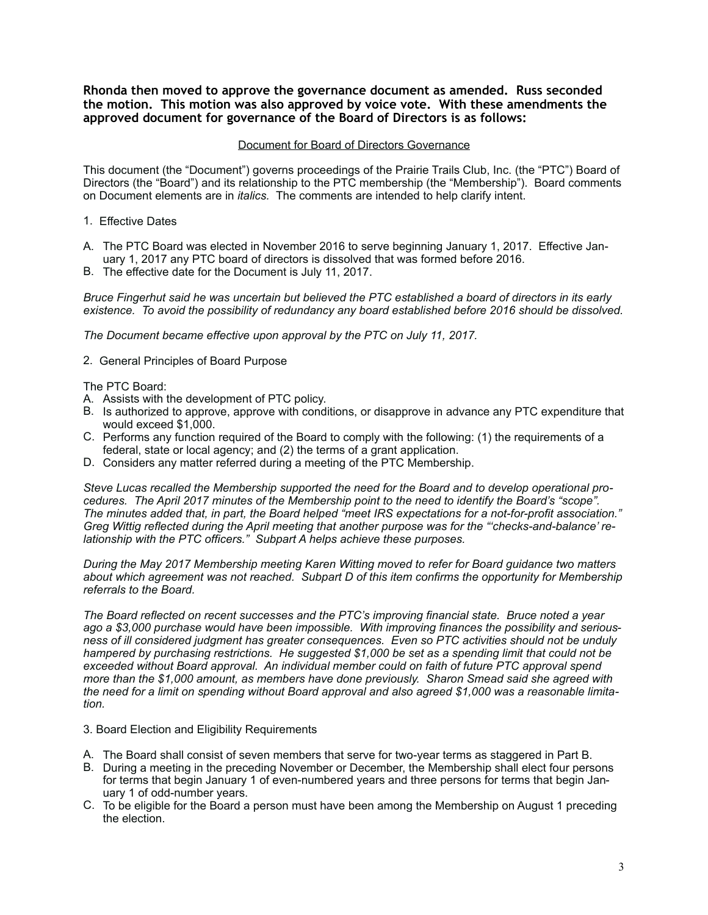**Rhonda then moved to approve the governance document as amended. Russ seconded the motion. This motion was also approved by voice vote. With these amendments the approved document for governance of the Board of Directors is as follows:** 

#### Document for Board of Directors Governance

This document (the "Document") governs proceedings of the Prairie Trails Club, Inc. (the "PTC") Board of Directors (the "Board") and its relationship to the PTC membership (the "Membership"). Board comments on Document elements are in *italics.* The comments are intended to help clarify intent.

- 1. Effective Dates
- A. The PTC Board was elected in November 2016 to serve beginning January 1, 2017. Effective January 1, 2017 any PTC board of directors is dissolved that was formed before 2016.
- B. The effective date for the Document is July 11, 2017.

*Bruce Fingerhut said he was uncertain but believed the PTC established a board of directors in its early existence. To avoid the possibility of redundancy any board established before 2016 should be dissolved.* 

*The Document became effective upon approval by the PTC on July 11, 2017.*

2. General Principles of Board Purpose

The PTC Board:

- A. Assists with the development of PTC policy.
- B. Is authorized to approve, approve with conditions, or disapprove in advance any PTC expenditure that would exceed \$1,000.
- C. Performs any function required of the Board to comply with the following: (1) the requirements of a federal, state or local agency; and (2) the terms of a grant application.
- D. Considers any matter referred during a meeting of the PTC Membership.

*Steve Lucas recalled the Membership supported the need for the Board and to develop operational procedures. The April 2017 minutes of the Membership point to the need to identify the Board's "scope". The minutes added that, in part, the Board helped "meet IRS expectations for a not-for-profit association." Greg Wittig reflected during the April meeting that another purpose was for the "'checks-and-balance' relationship with the PTC officers." Subpart A helps achieve these purposes.* 

*During the May 2017 Membership meeting Karen Witting moved to refer for Board guidance two matters about which agreement was not reached. Subpart D of this item confirms the opportunity for Membership referrals to the Board.* 

*The Board reflected on recent successes and the PTC's improving financial state. Bruce noted a year ago a \$3,000 purchase would have been impossible. With improving finances the possibility and seriousness of ill considered judgment has greater consequences. Even so PTC activities should not be unduly hampered by purchasing restrictions. He suggested \$1,000 be set as a spending limit that could not be exceeded without Board approval. An individual member could on faith of future PTC approval spend more than the \$1,000 amount, as members have done previously. Sharon Smead said she agreed with the need for a limit on spending without Board approval and also agreed \$1,000 was a reasonable limitation.* 

- 3. Board Election and Eligibility Requirements
- A. The Board shall consist of seven members that serve for two-year terms as staggered in Part B.
- B. During a meeting in the preceding November or December, the Membership shall elect four persons for terms that begin January 1 of even-numbered years and three persons for terms that begin January 1 of odd-number years.
- C. To be eligible for the Board a person must have been among the Membership on August 1 preceding the election.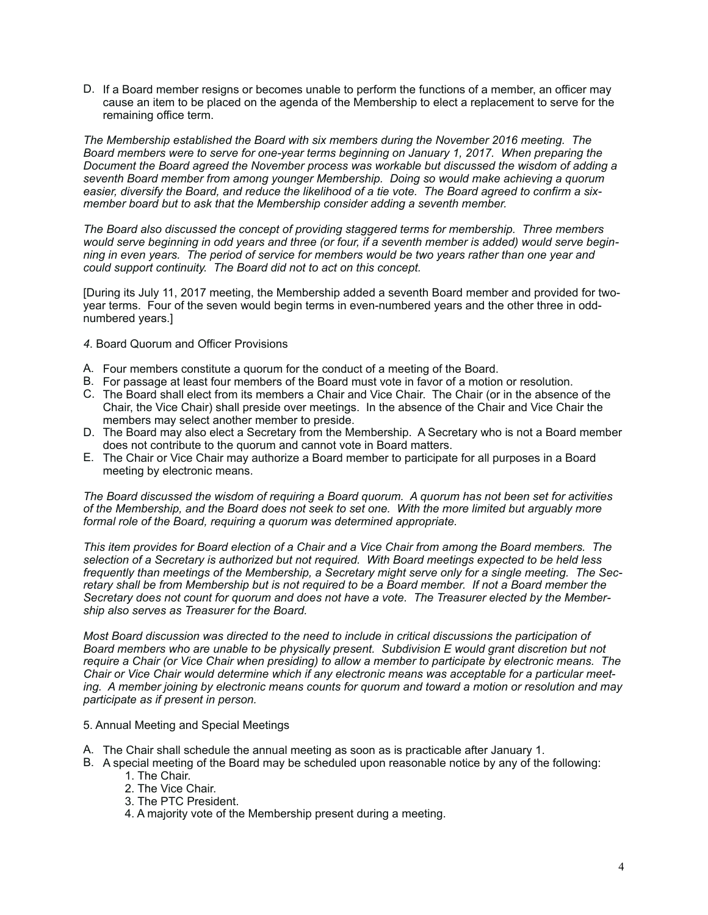D. If a Board member resigns or becomes unable to perform the functions of a member, an officer may cause an item to be placed on the agenda of the Membership to elect a replacement to serve for the remaining office term.

*The Membership established the Board with six members during the November 2016 meeting. The Board members were to serve for one-year terms beginning on January 1, 2017. When preparing the Document the Board agreed the November process was workable but discussed the wisdom of adding a seventh Board member from among younger Membership. Doing so would make achieving a quorum easier, diversify the Board, and reduce the likelihood of a tie vote. The Board agreed to confirm a sixmember board but to ask that the Membership consider adding a seventh member.* 

*The Board also discussed the concept of providing staggered terms for membership. Three members would serve beginning in odd years and three (or four, if a seventh member is added) would serve beginning in even years. The period of service for members would be two years rather than one year and could support continuity. The Board did not to act on this concept.* 

[During its July 11, 2017 meeting, the Membership added a seventh Board member and provided for twoyear terms. Four of the seven would begin terms in even-numbered years and the other three in oddnumbered years.]

- *4*. Board Quorum and Officer Provisions
- A. Four members constitute a quorum for the conduct of a meeting of the Board.
- B. For passage at least four members of the Board must vote in favor of a motion or resolution.
- C. The Board shall elect from its members a Chair and Vice Chair. The Chair (or in the absence of the Chair, the Vice Chair) shall preside over meetings. In the absence of the Chair and Vice Chair the members may select another member to preside.
- D. The Board may also elect a Secretary from the Membership. A Secretary who is not a Board member does not contribute to the quorum and cannot vote in Board matters.
- E. The Chair or Vice Chair may authorize a Board member to participate for all purposes in a Board meeting by electronic means.

*The Board discussed the wisdom of requiring a Board quorum. A quorum has not been set for activities of the Membership, and the Board does not seek to set one. With the more limited but arguably more formal role of the Board, requiring a quorum was determined appropriate.* 

*This item provides for Board election of a Chair and a Vice Chair from among the Board members. The selection of a Secretary is authorized but not required. With Board meetings expected to be held less frequently than meetings of the Membership, a Secretary might serve only for a single meeting. The Secretary shall be from Membership but is not required to be a Board member. If not a Board member the Secretary does not count for quorum and does not have a vote. The Treasurer elected by the Membership also serves as Treasurer for the Board.* 

*Most Board discussion was directed to the need to include in critical discussions the participation of Board members who are unable to be physically present. Subdivision E would grant discretion but not require a Chair (or Vice Chair when presiding) to allow a member to participate by electronic means. The Chair or Vice Chair would determine which if any electronic means was acceptable for a particular meeting. A member joining by electronic means counts for quorum and toward a motion or resolution and may participate as if present in person.*

- 5. Annual Meeting and Special Meetings
- A. The Chair shall schedule the annual meeting as soon as is practicable after January 1.
- B. A special meeting of the Board may be scheduled upon reasonable notice by any of the following:
	- 1. The Chair.
	- 2. The Vice Chair.
	- 3. The PTC President.
	- 4. A majority vote of the Membership present during a meeting.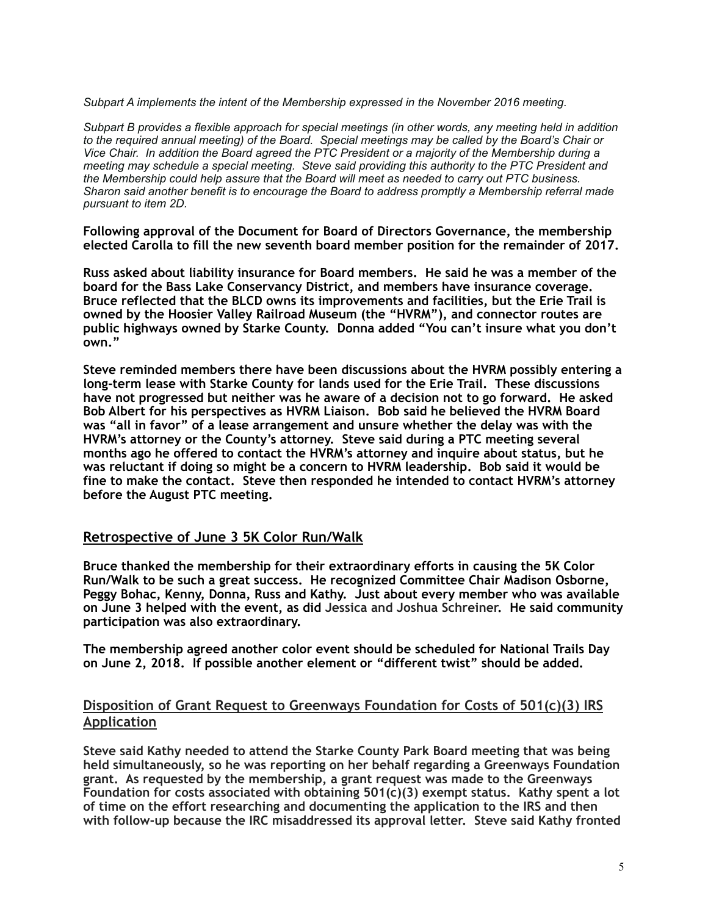*Subpart A implements the intent of the Membership expressed in the November 2016 meeting.* 

*Subpart B provides a flexible approach for special meetings (in other words, any meeting held in addition to the required annual meeting) of the Board. Special meetings may be called by the Board's Chair or Vice Chair. In addition the Board agreed the PTC President or a majority of the Membership during a meeting may schedule a special meeting. Steve said providing this authority to the PTC President and the Membership could help assure that the Board will meet as needed to carry out PTC business. Sharon said another benefit is to encourage the Board to address promptly a Membership referral made pursuant to item 2D.* 

**Following approval of the Document for Board of Directors Governance, the membership elected Carolla to fill the new seventh board member position for the remainder of 2017.** 

**Russ asked about liability insurance for Board members. He said he was a member of the board for the Bass Lake Conservancy District, and members have insurance coverage. Bruce reflected that the BLCD owns its improvements and facilities, but the Erie Trail is owned by the Hoosier Valley Railroad Museum (the "HVRM"), and connector routes are public highways owned by Starke County. Donna added "You can't insure what you don't own."** 

**Steve reminded members there have been discussions about the HVRM possibly entering a long-term lease with Starke County for lands used for the Erie Trail. These discussions have not progressed but neither was he aware of a decision not to go forward. He asked Bob Albert for his perspectives as HVRM Liaison. Bob said he believed the HVRM Board was "all in favor" of a lease arrangement and unsure whether the delay was with the HVRM's attorney or the County's attorney. Steve said during a PTC meeting several months ago he offered to contact the HVRM's attorney and inquire about status, but he was reluctant if doing so might be a concern to HVRM leadership. Bob said it would be fine to make the contact. Steve then responded he intended to contact HVRM's attorney before the August PTC meeting.** 

## **Retrospective of June 3 5K Color Run/Walk**

**Bruce thanked the membership for their extraordinary efforts in causing the 5K Color Run/Walk to be such a great success. He recognized Committee Chair Madison Osborne, Peggy Bohac, Kenny, Donna, Russ and Kathy. Just about every member who was available on June 3 helped with the event, as did Jessica and Joshua Schreiner. He said community participation was also extraordinary.** 

**The membership agreed another color event should be scheduled for National Trails Day on June 2, 2018. If possible another element or "different twist" should be added.** 

## **Disposition of Grant Request to Greenways Foundation for Costs of 501(c)(3) IRS Application**

**Steve said Kathy needed to attend the Starke County Park Board meeting that was being held simultaneously, so he was reporting on her behalf regarding a Greenways Foundation grant. As requested by the membership, a grant request was made to the Greenways Foundation for costs associated with obtaining 501(c)(3) exempt status. Kathy spent a lot of time on the effort researching and documenting the application to the IRS and then with follow-up because the IRC misaddressed its approval letter. Steve said Kathy fronted**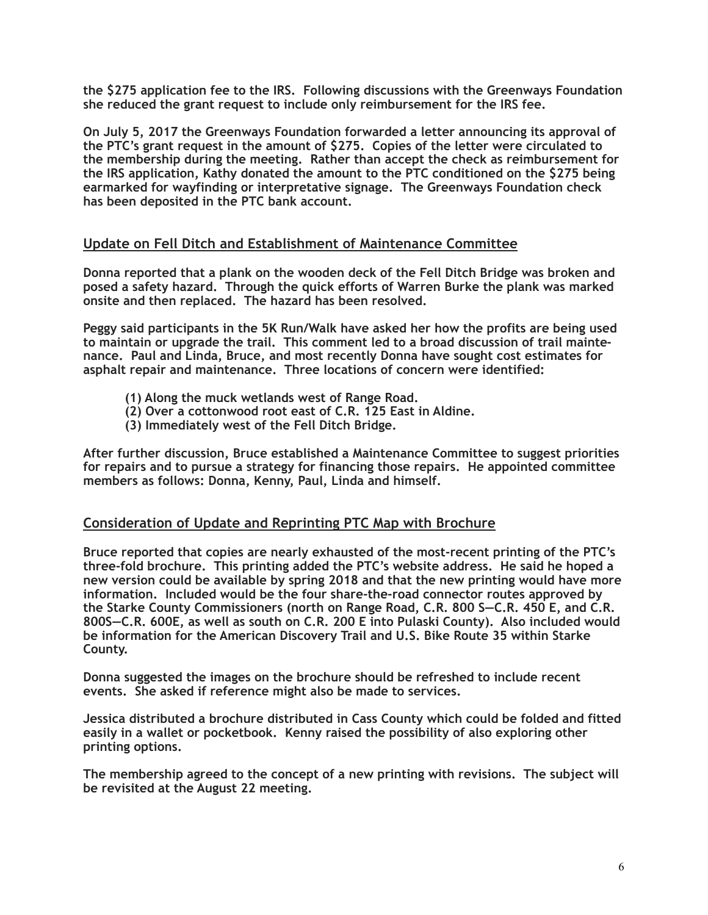**the \$275 application fee to the IRS. Following discussions with the Greenways Foundation she reduced the grant request to include only reimbursement for the IRS fee.** 

**On July 5, 2017 the Greenways Foundation forwarded a letter announcing its approval of the PTC's grant request in the amount of \$275. Copies of the letter were circulated to the membership during the meeting. Rather than accept the check as reimbursement for the IRS application, Kathy donated the amount to the PTC conditioned on the \$275 being earmarked for wayfinding or interpretative signage. The Greenways Foundation check has been deposited in the PTC bank account.** 

## **Update on Fell Ditch and Establishment of Maintenance Committee**

**Donna reported that a plank on the wooden deck of the Fell Ditch Bridge was broken and posed a safety hazard. Through the quick efforts of Warren Burke the plank was marked onsite and then replaced. The hazard has been resolved.** 

**Peggy said participants in the 5K Run/Walk have asked her how the profits are being used to maintain or upgrade the trail. This comment led to a broad discussion of trail maintenance. Paul and Linda, Bruce, and most recently Donna have sought cost estimates for asphalt repair and maintenance. Three locations of concern were identified:** 

- **(1) Along the muck wetlands west of Range Road.**
- **(2) Over a cottonwood root east of C.R. 125 East in Aldine.**
- **(3) Immediately west of the Fell Ditch Bridge.**

**After further discussion, Bruce established a Maintenance Committee to suggest priorities for repairs and to pursue a strategy for financing those repairs. He appointed committee members as follows: Donna, Kenny, Paul, Linda and himself.**

## **Consideration of Update and Reprinting PTC Map with Brochure**

**Bruce reported that copies are nearly exhausted of the most-recent printing of the PTC's three-fold brochure. This printing added the PTC's website address. He said he hoped a new version could be available by spring 2018 and that the new printing would have more information. Included would be the four share-the-road connector routes approved by the Starke County Commissioners (north on Range Road, C.R. 800 S—C.R. 450 E, and C.R. 800S—C.R. 600E, as well as south on C.R. 200 E into Pulaski County). Also included would be information for the American Discovery Trail and U.S. Bike Route 35 within Starke County.** 

**Donna suggested the images on the brochure should be refreshed to include recent events. She asked if reference might also be made to services.** 

**Jessica distributed a brochure distributed in Cass County which could be folded and fitted easily in a wallet or pocketbook. Kenny raised the possibility of also exploring other printing options.** 

**The membership agreed to the concept of a new printing with revisions. The subject will be revisited at the August 22 meeting.**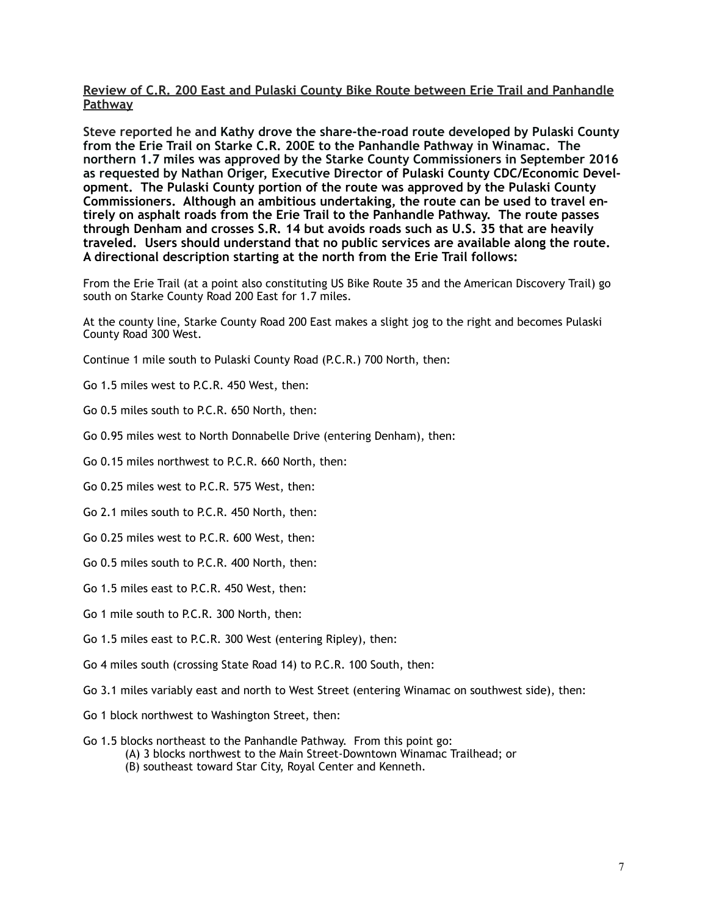### **Review of C.R. 200 East and Pulaski County Bike Route between Erie Trail and Panhandle Pathway**

**Steve reported he and Kathy drove the share-the-road route developed by Pulaski County from the Erie Trail on Starke C.R. 200E to the Panhandle Pathway in Winamac. The northern 1.7 miles was approved by the Starke County Commissioners in September 2016 as requested by Nathan Origer, Executive Director of Pulaski County CDC/Economic Development. The Pulaski County portion of the route was approved by the Pulaski County Commissioners. Although an ambitious undertaking, the route can be used to travel entirely on asphalt roads from the Erie Trail to the Panhandle Pathway. The route passes through Denham and crosses S.R. 14 but avoids roads such as U.S. 35 that are heavily traveled. Users should understand that no public services are available along the route. A directional description starting at the north from the Erie Trail follows:** 

From the Erie Trail (at a point also constituting US Bike Route 35 and the American Discovery Trail) go south on Starke County Road 200 East for 1.7 miles.

At the county line, Starke County Road 200 East makes a slight jog to the right and becomes Pulaski County Road 300 West.

- Continue 1 mile south to Pulaski County Road (P.C.R.) 700 North, then:
- Go 1.5 miles west to P.C.R. 450 West, then:
- Go 0.5 miles south to P.C.R. 650 North, then:
- Go 0.95 miles west to North Donnabelle Drive (entering Denham), then:
- Go 0.15 miles northwest to P.C.R. 660 North, then:
- Go 0.25 miles west to P.C.R. 575 West, then:
- Go 2.1 miles south to P.C.R. 450 North, then:
- Go 0.25 miles west to P.C.R. 600 West, then:
- Go 0.5 miles south to P.C.R. 400 North, then:
- Go 1.5 miles east to P.C.R. 450 West, then:
- Go 1 mile south to P.C.R. 300 North, then:
- Go 1.5 miles east to P.C.R. 300 West (entering Ripley), then:
- Go 4 miles south (crossing State Road 14) to P.C.R. 100 South, then:
- Go 3.1 miles variably east and north to West Street (entering Winamac on southwest side), then:
- Go 1 block northwest to Washington Street, then:
- Go 1.5 blocks northeast to the Panhandle Pathway. From this point go:
	- (A) 3 blocks northwest to the Main Street-Downtown Winamac Trailhead; or
	- (B) southeast toward Star City, Royal Center and Kenneth.